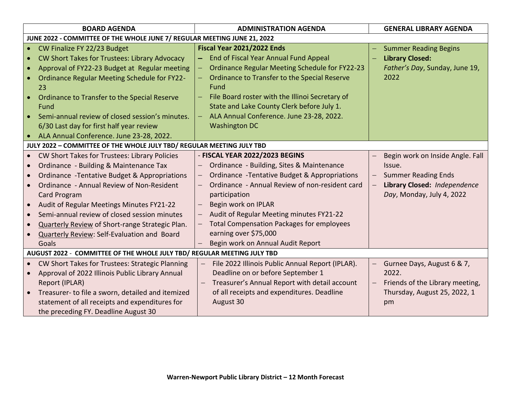| <b>BOARD AGENDA</b>                                                                                                                                                                                                                                                                                                                                                                                                                                                                         | <b>ADMINISTRATION AGENDA</b>                                                                                                                                                                                                                                                                                                                                                                                                                                                        | <b>GENERAL LIBRARY AGENDA</b>                                                                                                                                     |  |  |  |  |  |  |
|---------------------------------------------------------------------------------------------------------------------------------------------------------------------------------------------------------------------------------------------------------------------------------------------------------------------------------------------------------------------------------------------------------------------------------------------------------------------------------------------|-------------------------------------------------------------------------------------------------------------------------------------------------------------------------------------------------------------------------------------------------------------------------------------------------------------------------------------------------------------------------------------------------------------------------------------------------------------------------------------|-------------------------------------------------------------------------------------------------------------------------------------------------------------------|--|--|--|--|--|--|
| JUNE 2022 - COMMITTEE OF THE WHOLE JUNE 7/ REGULAR MEETING JUNE 21, 2022                                                                                                                                                                                                                                                                                                                                                                                                                    |                                                                                                                                                                                                                                                                                                                                                                                                                                                                                     |                                                                                                                                                                   |  |  |  |  |  |  |
| CW Finalize FY 22/23 Budget<br><b>CW Short Takes for Trustees: Library Advocacy</b><br>Approval of FY22-23 Budget at Regular meeting<br>$\bullet$<br><b>Ordinance Regular Meeting Schedule for FY22-</b><br>23<br>Ordinance to Transfer to the Special Reserve<br>Fund<br>Semi-annual review of closed session's minutes.<br>6/30 Last day for first half year review<br>ALA Annual Conference. June 23-28, 2022.                                                                           | <b>Fiscal Year 2021/2022 Ends</b><br>End of Fiscal Year Annual Fund Appeal<br><b>Ordinance Regular Meeting Schedule for FY22-23</b><br>-<br>Ordinance to Transfer to the Special Reserve<br>Fund<br>File Board roster with the Illinoi Secretary of<br>State and Lake County Clerk before July 1.<br>ALA Annual Conference. June 23-28, 2022.<br>$\equiv$<br><b>Washington DC</b>                                                                                                   | <b>Summer Reading Begins</b><br><b>Library Closed:</b><br>Father's Day, Sunday, June 19,<br>2022                                                                  |  |  |  |  |  |  |
| JULY 2022 - COMMITTEE OF THE WHOLE JULY TBD/ REGULAR MEETING JULY TBD                                                                                                                                                                                                                                                                                                                                                                                                                       |                                                                                                                                                                                                                                                                                                                                                                                                                                                                                     |                                                                                                                                                                   |  |  |  |  |  |  |
| CW Short Takes for Trustees: Library Policies<br>$\bullet$<br>Ordinance - Building & Maintenance Tax<br>$\bullet$<br>Ordinance - Tentative Budget & Appropriations<br>$\bullet$<br>Ordinance - Annual Review of Non-Resident<br>$\bullet$<br>Card Program<br>Audit of Regular Meetings Minutes FY21-22<br>$\bullet$<br>Semi-annual review of closed session minutes<br>Quarterly Review of Short-range Strategic Plan.<br>$\bullet$<br>Quarterly Review: Self-Evaluation and Board<br>Goals | - FISCAL YEAR 2022/2023 BEGINS<br>Ordinance - Building, Sites & Maintenance<br><b>Ordinance - Tentative Budget &amp; Appropriations</b><br>$\overline{\phantom{0}}$<br>Ordinance - Annual Review of non-resident card<br>$\overline{\phantom{0}}$<br>participation<br>Begin work on IPLAR<br>$\overline{\phantom{0}}$<br>Audit of Regular Meeting minutes FY21-22<br><b>Total Compensation Packages for employees</b><br>earning over \$75,000<br>Begin work on Annual Audit Report | Begin work on Inside Angle. Fall<br>Issue.<br><b>Summer Reading Ends</b><br>Library Closed: Independence<br>$\overline{\phantom{0}}$<br>Day, Monday, July 4, 2022 |  |  |  |  |  |  |
| AUGUST 2022 - COMMITTEE OF THE WHOLE JULY TBD/ REGULAR MEETING JULY TBD                                                                                                                                                                                                                                                                                                                                                                                                                     |                                                                                                                                                                                                                                                                                                                                                                                                                                                                                     |                                                                                                                                                                   |  |  |  |  |  |  |
| CW Short Takes for Trustees: Strategic Planning<br>$\bullet$<br>Approval of 2022 Illinois Public Library Annual<br>Report (IPLAR)<br>Treasurer-to file a sworn, detailed and itemized<br>statement of all receipts and expenditures for<br>the preceding FY. Deadline August 30                                                                                                                                                                                                             | File 2022 Illinois Public Annual Report (IPLAR).<br>Deadline on or before September 1<br>Treasurer's Annual Report with detail account<br>of all receipts and expenditures. Deadline<br>August 30                                                                                                                                                                                                                                                                                   | Gurnee Days, August 6 & 7,<br>2022.<br>Friends of the Library meeting,<br>Thursday, August 25, 2022, 1<br>pm                                                      |  |  |  |  |  |  |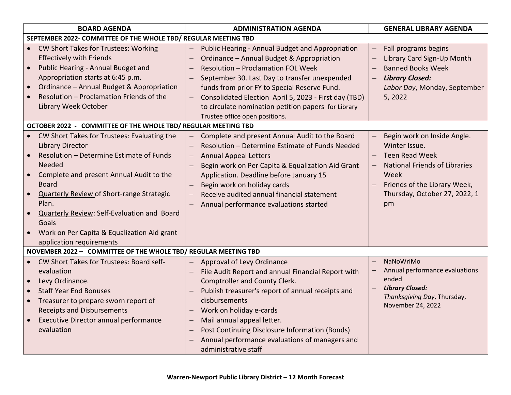| <b>BOARD AGENDA</b>                                                                                                                                                                                                                                                                                                                                                                                                                                 | <b>ADMINISTRATION AGENDA</b>                                                                                                                                                                                                                                                                                                                                                                  | <b>GENERAL LIBRARY AGENDA</b>                                                                                                                                                                            |  |  |  |  |  |  |
|-----------------------------------------------------------------------------------------------------------------------------------------------------------------------------------------------------------------------------------------------------------------------------------------------------------------------------------------------------------------------------------------------------------------------------------------------------|-----------------------------------------------------------------------------------------------------------------------------------------------------------------------------------------------------------------------------------------------------------------------------------------------------------------------------------------------------------------------------------------------|----------------------------------------------------------------------------------------------------------------------------------------------------------------------------------------------------------|--|--|--|--|--|--|
| SEPTEMBER 2022- COMMITTEE OF THE WHOLE TBD/ REGULAR MEETING TBD                                                                                                                                                                                                                                                                                                                                                                                     |                                                                                                                                                                                                                                                                                                                                                                                               |                                                                                                                                                                                                          |  |  |  |  |  |  |
| CW Short Takes for Trustees: Working<br><b>Effectively with Friends</b><br>Public Hearing - Annual Budget and<br>$\bullet$<br>Appropriation starts at 6:45 p.m.<br>Ordinance - Annual Budget & Appropriation<br>Resolution - Proclamation Friends of the<br>Library Week October                                                                                                                                                                    | Public Hearing - Annual Budget and Appropriation<br>Ordinance - Annual Budget & Appropriation<br><b>Resolution - Proclamation FOL Week</b><br>September 30. Last Day to transfer unexpended<br>funds from prior FY to Special Reserve Fund.<br>Consolidated Election April 5, 2023 - First day (TBD)<br>to circulate nomination petition papers for Library<br>Trustee office open positions. | Fall programs begins<br>$\qquad \qquad -$<br>Library Card Sign-Up Month<br>$\overline{\phantom{0}}$<br><b>Banned Books Week</b><br><b>Library Closed:</b><br>Labor Day, Monday, September<br>5, 2022     |  |  |  |  |  |  |
| OCTOBER 2022 - COMMITTEE OF THE WHOLE TBD/ REGULAR MEETING TBD                                                                                                                                                                                                                                                                                                                                                                                      |                                                                                                                                                                                                                                                                                                                                                                                               |                                                                                                                                                                                                          |  |  |  |  |  |  |
| CW Short Takes for Trustees: Evaluating the<br><b>Library Director</b><br>Resolution - Determine Estimate of Funds<br>Needed<br>Complete and present Annual Audit to the<br>$\bullet$<br><b>Board</b><br><b>Quarterly Review of Short-range Strategic</b><br>$\bullet$<br>Plan.<br><b>Quarterly Review: Self-Evaluation and Board</b><br>$\bullet$<br>Goals<br>Work on Per Capita & Equalization Aid grant<br>$\bullet$<br>application requirements | Complete and present Annual Audit to the Board<br>Resolution - Determine Estimate of Funds Needed<br><b>Annual Appeal Letters</b><br>Begin work on Per Capita & Equalization Aid Grant<br>Application. Deadline before January 15<br>Begin work on holiday cards<br>Receive audited annual financial statement<br>Annual performance evaluations started                                      | Begin work on Inside Angle.<br>Winter Issue.<br><b>Teen Read Week</b><br><b>National Friends of Libraries</b><br>$\equiv$<br>Week<br>Friends of the Library Week,<br>Thursday, October 27, 2022, 1<br>pm |  |  |  |  |  |  |
| NOVEMBER 2022 - COMMITTEE OF THE WHOLE TBD/ REGULAR MEETING TBD                                                                                                                                                                                                                                                                                                                                                                                     |                                                                                                                                                                                                                                                                                                                                                                                               |                                                                                                                                                                                                          |  |  |  |  |  |  |
| CW Short Takes for Trustees: Board self-<br>evaluation<br>Levy Ordinance.<br>$\bullet$<br><b>Staff Year End Bonuses</b><br>$\bullet$<br>Treasurer to prepare sworn report of<br><b>Receipts and Disbursements</b><br>Executive Director annual performance<br>$\bullet$<br>evaluation                                                                                                                                                               | Approval of Levy Ordinance<br>File Audit Report and annual Financial Report with<br>Comptroller and County Clerk.<br>Publish treasurer's report of annual receipts and<br>disbursements<br>Work on holiday e-cards<br>Mail annual appeal letter.<br>Post Continuing Disclosure Information (Bonds)<br>Annual performance evaluations of managers and<br>administrative staff                  | NaNoWriMo<br>$\equiv$<br>Annual performance evaluations<br>ended<br><b>Library Closed:</b><br>Thanksgiving Day, Thursday,<br>November 24, 2022                                                           |  |  |  |  |  |  |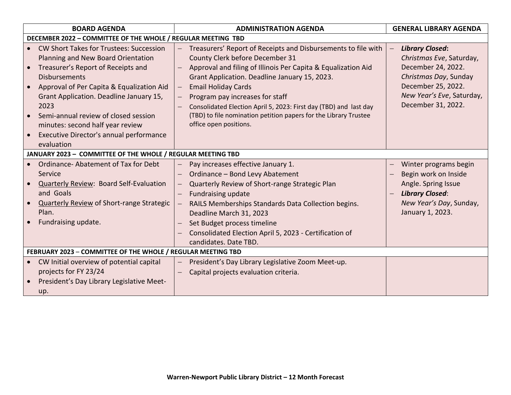| <b>BOARD AGENDA</b>                 |                                                                                                                                                                                                                                                                                                                                                                                         | <b>ADMINISTRATION AGENDA</b> |                                                                                                                                                                                                                                                                                                                                                                                                                                                        |  | <b>GENERAL LIBRARY AGENDA</b>                                                                                                                                              |  |  |
|-------------------------------------|-----------------------------------------------------------------------------------------------------------------------------------------------------------------------------------------------------------------------------------------------------------------------------------------------------------------------------------------------------------------------------------------|------------------------------|--------------------------------------------------------------------------------------------------------------------------------------------------------------------------------------------------------------------------------------------------------------------------------------------------------------------------------------------------------------------------------------------------------------------------------------------------------|--|----------------------------------------------------------------------------------------------------------------------------------------------------------------------------|--|--|
|                                     | DECEMBER 2022 - COMMITTEE OF THE WHOLE / REGULAR MEETING TBD                                                                                                                                                                                                                                                                                                                            |                              |                                                                                                                                                                                                                                                                                                                                                                                                                                                        |  |                                                                                                                                                                            |  |  |
| $\bullet$<br>$\bullet$<br>$\bullet$ | <b>CW Short Takes for Trustees: Succession</b><br>Planning and New Board Orientation<br>Treasurer's Report of Receipts and<br><b>Disbursements</b><br>Approval of Per Capita & Equalization Aid<br>Grant Application. Deadline January 15,<br>2023<br>Semi-annual review of closed session<br>minutes: second half year review<br>Executive Director's annual performance<br>evaluation | $\overline{\phantom{0}}$     | Treasurers' Report of Receipts and Disbursements to file with<br>County Clerk before December 31<br>Approval and filing of Illinois Per Capita & Equalization Aid<br>Grant Application. Deadline January 15, 2023.<br><b>Email Holiday Cards</b><br>Program pay increases for staff<br>Consolidated Election April 5, 2023: First day (TBD) and last day<br>(TBD) to file nomination petition papers for the Library Trustee<br>office open positions. |  | <b>Library Closed:</b><br>Christmas Eve, Saturday,<br>December 24, 2022.<br>Christmas Day, Sunday<br>December 25, 2022.<br>New Year's Eve, Saturday,<br>December 31, 2022. |  |  |
|                                     | JANUARY 2023 - COMMITTEE OF THE WHOLE / REGULAR MEETING TBD                                                                                                                                                                                                                                                                                                                             |                              |                                                                                                                                                                                                                                                                                                                                                                                                                                                        |  |                                                                                                                                                                            |  |  |
| $\bullet$                           | Ordinance-Abatement of Tax for Debt<br>Service<br><b>Quarterly Review: Board Self-Evaluation</b><br>and Goals<br><b>Quarterly Review of Short-range Strategic</b><br>Plan.<br>Fundraising update.                                                                                                                                                                                       | —                            | Pay increases effective January 1.<br>Ordinance - Bond Levy Abatement<br>Quarterly Review of Short-range Strategic Plan<br><b>Fundraising update</b><br>RAILS Memberships Standards Data Collection begins.<br>Deadline March 31, 2023<br>Set Budget process timeline<br>Consolidated Election April 5, 2023 - Certification of<br>candidates. Date TBD.                                                                                               |  | Winter programs begin<br>Begin work on Inside<br>Angle. Spring Issue<br><b>Library Closed:</b><br>New Year's Day, Sunday,<br>January 1, 2023.                              |  |  |
|                                     | FEBRUARY 2023 - COMMITTEE OF THE WHOLE / REGULAR MEETING TBD                                                                                                                                                                                                                                                                                                                            |                              |                                                                                                                                                                                                                                                                                                                                                                                                                                                        |  |                                                                                                                                                                            |  |  |
| $\bullet$                           | CW Initial overview of potential capital<br>projects for FY 23/24<br>President's Day Library Legislative Meet-<br>up.                                                                                                                                                                                                                                                                   |                              | President's Day Library Legislative Zoom Meet-up.<br>Capital projects evaluation criteria.                                                                                                                                                                                                                                                                                                                                                             |  |                                                                                                                                                                            |  |  |